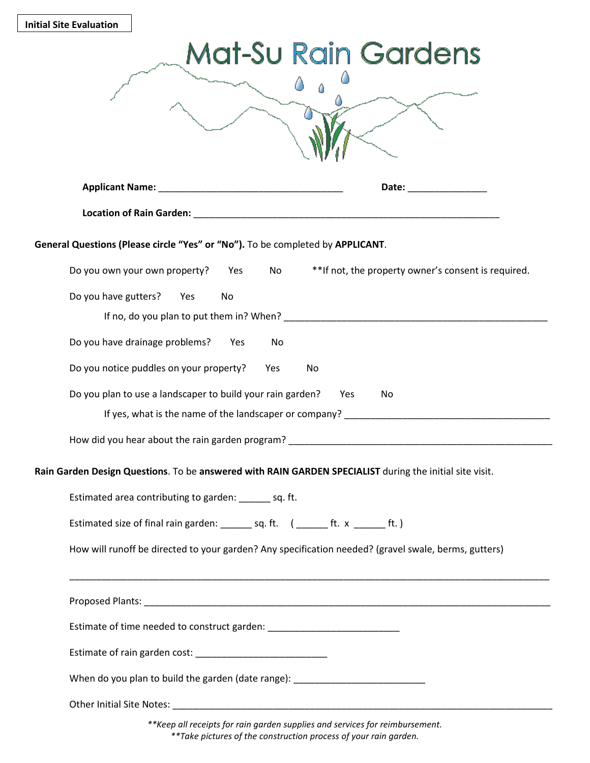| <b>Initial Site Evaluation</b>                                                                          |                                                                                                                                                                                                                                |
|---------------------------------------------------------------------------------------------------------|--------------------------------------------------------------------------------------------------------------------------------------------------------------------------------------------------------------------------------|
| Mat-Su Rain Gardens                                                                                     |                                                                                                                                                                                                                                |
|                                                                                                         |                                                                                                                                                                                                                                |
|                                                                                                         |                                                                                                                                                                                                                                |
|                                                                                                         | Date: the contract of the contract of the contract of the contract of the contract of the contract of the contract of the contract of the contract of the contract of the contract of the contract of the contract of the cont |
|                                                                                                         |                                                                                                                                                                                                                                |
| General Questions (Please circle "Yes" or "No"). To be completed by APPLICANT.                          |                                                                                                                                                                                                                                |
| Do you own your own property?<br>Yes                                                                    | **If not, the property owner's consent is required.<br>No                                                                                                                                                                      |
| Do you have gutters?<br>Yes<br>No                                                                       |                                                                                                                                                                                                                                |
| Do you have drainage problems?<br><b>Yes</b>                                                            | No.                                                                                                                                                                                                                            |
| Do you notice puddles on your property?<br>Yes<br>No.                                                   |                                                                                                                                                                                                                                |
| Do you plan to use a landscaper to build your rain garden?<br>Yes<br>No                                 |                                                                                                                                                                                                                                |
| If yes, what is the name of the landscaper or company?                                                  |                                                                                                                                                                                                                                |
| How did you hear about the rain garden program?                                                         |                                                                                                                                                                                                                                |
| Rain Garden Design Questions. To be answered with RAIN GARDEN SPECIALIST during the initial site visit. |                                                                                                                                                                                                                                |
| Estimated area contributing to garden: ______ sq. ft.                                                   |                                                                                                                                                                                                                                |
| Estimated size of final rain garden: ________ sq. ft. ( ______ ft. x ______ ft.)                        |                                                                                                                                                                                                                                |
| How will runoff be directed to your garden? Any specification needed? (gravel swale, berms, gutters)    |                                                                                                                                                                                                                                |
|                                                                                                         |                                                                                                                                                                                                                                |
| Estimate of time needed to construct garden: ___________________________________                        |                                                                                                                                                                                                                                |
|                                                                                                         |                                                                                                                                                                                                                                |
| When do you plan to build the garden (date range): _____________________________                        |                                                                                                                                                                                                                                |
|                                                                                                         |                                                                                                                                                                                                                                |
| ** Keep all receipts for rain garden supplies and services for reimbursement.                           |                                                                                                                                                                                                                                |

\*\*Take pictures of the construction process of your rain garden.